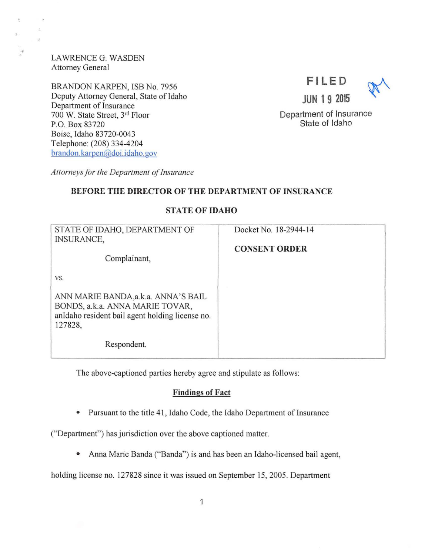LAWRENCEG. WASDEN Attorney General

BRANDON KARPEN, ISB No. 7956 Deputy Attorney General, State of Idaho Department of Insurance 700 W. State Street, 3rd Floor P.O. Box 83720 Boise, Idaho 83720-0043 Telephone: (208) 334-4204 brandon. karpen@doi.idaho.gov



Department of Insurance State of Idaho

Attorneys for the Department of Insurance

### BEFORE THE DIRECTOR OF THE DEPARTMENT OF INSURANCE

| STATE OF IDAHO, DEPARTMENT OF<br><b>INSURANCE,</b><br>Complainant,                                                                           | Docket No. 18-2944-14<br><b>CONSENT ORDER</b> |
|----------------------------------------------------------------------------------------------------------------------------------------------|-----------------------------------------------|
| VS.<br>ANN MARIE BANDA, a.k. a. ANNA'S BAIL<br>BONDS, a.k.a. ANNA MARIE TOVAR,<br>anIdaho resident bail agent holding license no.<br>127828. |                                               |
| Respondent.                                                                                                                                  |                                               |

STATE OF IDAHO

The above-captioned parties hereby agree and stipulate as follows:

### Findings of Fact

• Pursuant to the title 41, Idaho Code, the Idaho Department of Insurance

("Department") has jurisdiction over the above captioned matter.

• Anna Marie Banda ("Banda") is and has been an Idaho-licensed bail agent,

holding license no. 127828 since it was issued on September 15, 2005. Department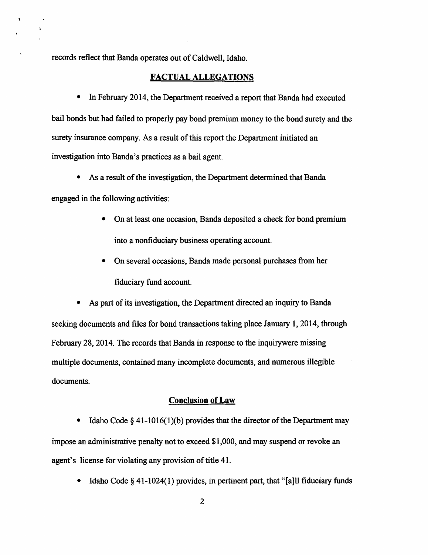records reflect that Banda operates out of Caldwell, Idaho.

#### FACTUAL ALLEGATIONS

• In February 2014, the Department received a report that Banda had executed bail bonds but had failed to properly pay bond premium money to the bond surety and the surety insurance company. As a result of this report the Department initiated an investigation into Banda's practices as a bail agent.

• As a result of the investigation, the Department determined that Banda

engaged in the following activities:

 $\bullet$ 

- On at least one occasion, Banda deposited a check for bond premium into a nonfiduciary business operating account.
- On several occasions, Banda made personal purchases from her fiduciary fund account.

• As part of its investigation, the Department directed an inquiry to Banda seeking documents and files for bond transactions taking place January 1, 2014, through February 28, 2014. The records that Banda in response to the inquirywere missing multiple documents, contained many incomplete documents, and numerous illegible documents.

## Conclusion of Law

• Idaho Code  $\S 41-1016(1)(b)$  provides that the director of the Department may impose an administrative penalty not to exceed \$1,000, and may suspend or revoke an agent's license for violating any provision of title 41.

• Idaho Code  $\S 41$ -1024(1) provides, in pertinent part, that "[a] l fiduciary funds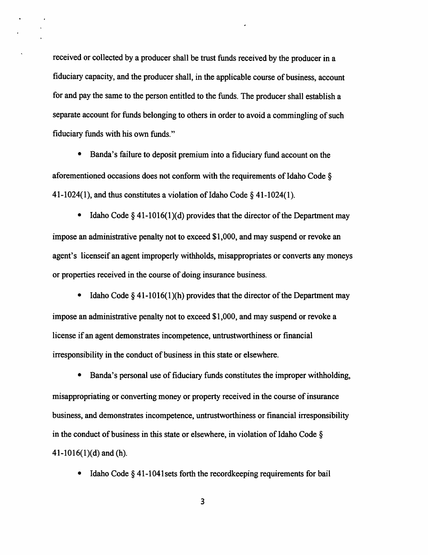received or collected by a producer shall be trust funds received by the producer in a fiduciary capacity, and the producer shall, in the applicable course of business, account for and pay the same to the person entitled to the funds. The producer shall establish a separate account for funds belonging to others in order to avoid a commingling of such fiduciary funds with his own funds."

• Banda's failure to deposit premium into a fiduciary fund account on the aforementioned occasions does not conform with the requirements of Idaho Code § 41-1024(1), and thus constitutes a violation of Idaho Code§ 41-1024(1).

• Idaho Code  $\S 41-1016(1)(d)$  provides that the director of the Department may impose an administrative penalty not to exceed \$1,000, and may suspend or revoke an agent's licenseif an agent improperly withholds, misappropriates or converts any moneys or properties received in the course of doing insurance business.

Idaho Code  $\S 41$ -1016(1)(h) provides that the director of the Department may impose an administrative penalty not to exceed \$1,000, and may suspend or revoke a license if an agent demonstrates incompetence, untrustworthiness or financial irresponsibility in the conduct of business in this state or elsewhere.

• Banda's personal use of fiduciary funds constitutes the improper withholding, misappropriating or converting money or property received in the course of insurance business, and demonstrates incompetence, untrustworthiness or financial irresponsibility in the conduct of business in this state or elsewhere, in violation of Idaho Code§ 41-1016 $(1)(d)$  and  $(h)$ .

• Idaho Code § 41-1041 sets forth the record keeping requirements for bail

3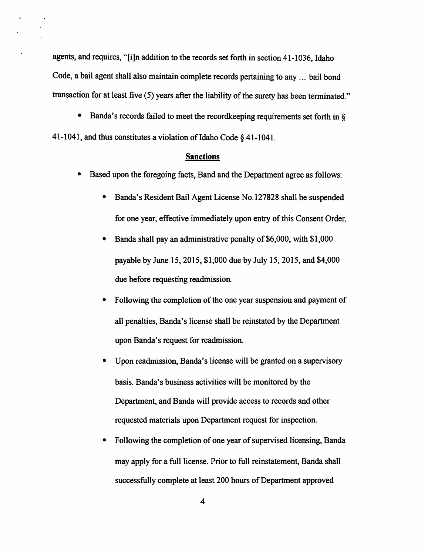agents, and requires, "[i]n addition to the records set forth in section 41-1036, Idaho Code, a bail agent shall also maintain complete records pertaining to any ... bail bond transaction for at least five (5) years after the liability of the surety has been terminated."

• Banda's records failed to meet the recordkeeping requirements set forth in  $\delta$ 41-1041, and thus constitutes a violation of Idaho Code § 41-1041.

### **Sanctions**

- Based upon the foregoing facts, Band and the Department agree as follows:
	- Banda's Resident Bail Agent License No.127828 shall be suspended for one year, effective immediately upon entry of this Consent Order.
	- Banda shall pay an administrative penalty of \$6,000, with \$1,000 payable by June 15, 2015, \$1,000 due by July 15, 2015, and \$4,000 due before requesting readmission.
	- Following the completion of the one year suspension and payment of all penalties, Banda's license shall be reinstated by the Department upon Banda's request for readmission.
	- Upon readmission, Banda's license will be granted on a supervisory basis. Banda's business activities will be monitored by the Department, and Banda will provide access to records and other requested materials upon Department request for inspection.
	- Following the completion of one year of supervised licensing, Banda may apply for a full license. Prior to full reinstatement, Banda shall successfully complete at least 200 hours of Department approved

4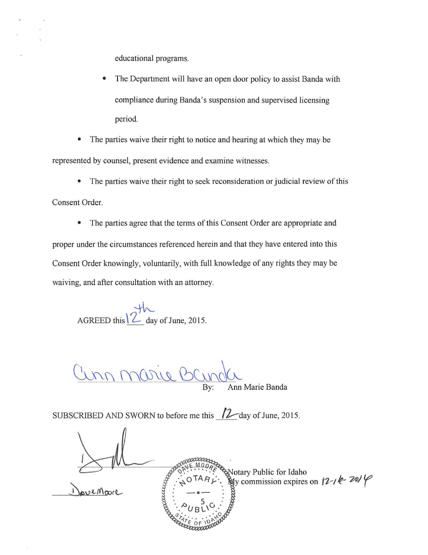educational programs.

The Department will have an open door policy to assist Banda with compliance during Banda's suspension and supervised licensing period.

• The parties waive their right to notice and hearing at which they may be represented by counsel, present evidence and examine witnesses.

• The parties waive their right to seek reconsideration or judicial review of this

Consent Order.

• The parties agree that the terms of this Consent Order are appropriate and proper under the circumstances referenced herein and that they have entered into this Consent Order knowingly, voluntarily, with full knowledge of any rights they may be waiving, and after consultation with an attorney.

 $AGREED this \sim 2015.$ 

 $\frac{\omega}{\omega}$  By:

Ann Marie Banda

SUBSCRIBED AND SWORN to before me this 12-day of June, 2015.

courreza Notary Public for Idaho  $\mathbb{Q}$ y commission expires on  $\left(2 - \frac{1}{2} \epsilon - \frac{2\pi}{9} \right)$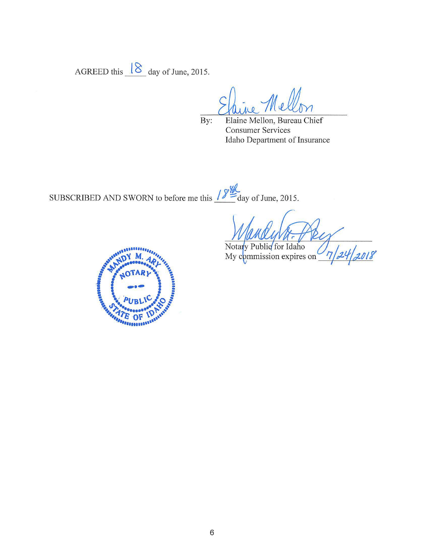AGREED this  $\sqrt{8}$  day of June, 2015.

By: Elaine Mellon, Bureau Chief Consumer Services Idaho Department of Insurance

**YI-42** SUBSCRIBED AND SWORN to before me this  $\frac{y}{z}$  day of June, 2015.

,<br>2018

Notary Public for Idaho My commission expires on

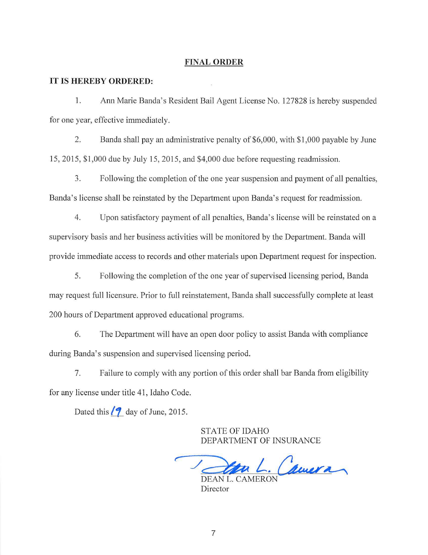### **FINAL ORDER**

#### **IT IS HEREBY ORDERED:**

1. Ann Marie Banda's Resident Bail Agent License No. 127828 is hereby suspended for one year, effective immediately.

2. Banda shall pay an administrative penalty of \$6,000, with \$1,000 payable by June 15, 2015, \$1 ,000 due by July 15, 2015, and \$4,000 due before requesting readmission.

3. Following the completion of the one year suspension and payment of all penalties, Banda's license shall be reinstated by the Department upon Banda's request for readmission.

4. Upon satisfactory payment of all penalties, Banda's license will be reinstated on a supervisory basis and her business activities will be monitored by the Department. Banda will provide immediate access to records and other materials upon Department request for inspection.

5. Following the completion of the one year of supervised licensing period, Banda may request full licensure. Prior to full reinstatement, Banda shall successfully complete at least 200 hours of Department approved educational programs.

6. The Department will have an open door policy to assist Banda with compliance during Banda's suspension and supervised licensing period.

7. Failure to comply with any portion of this order shall bar Banda from eligibility for any license under title 41 , Idaho Code.

Dated this *[9\_ day of June, 2015.* 

STATE OF IDAHO DEPARTMENT OF INSURANCE

DEAN L. Camera

Director